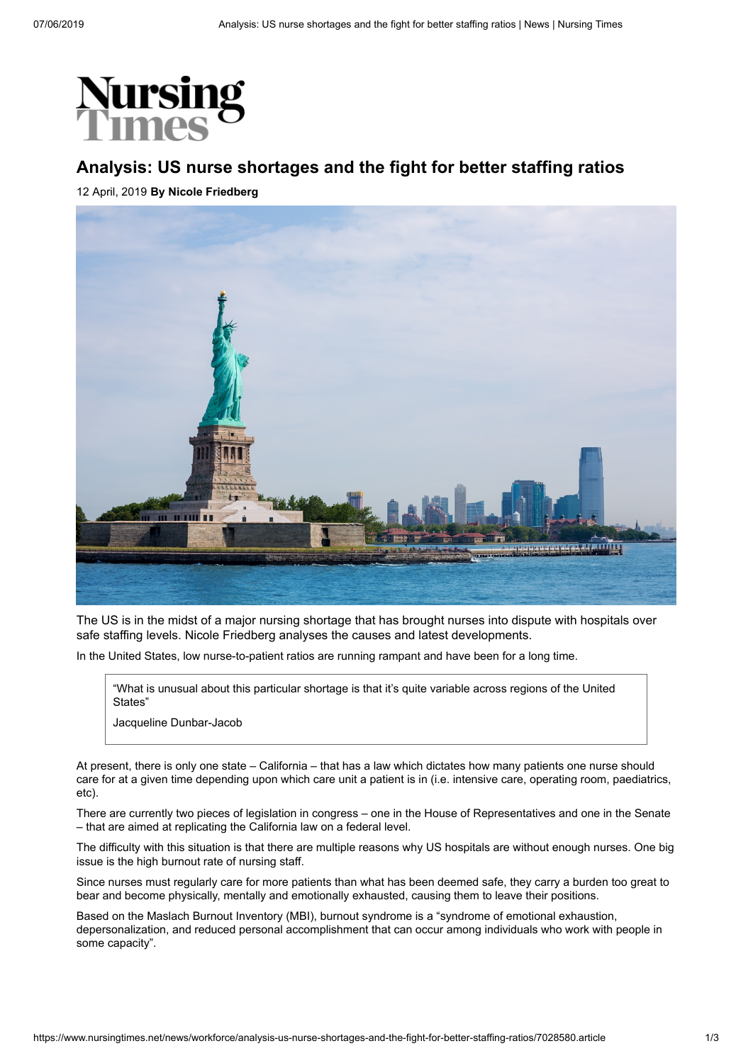

## **Analysis: US nurse shortages and the fight for better staffing ratios**

12 April, 2019 **By Nicole Friedberg**



The US is in the midst of a major nursing shortage that has brought nurses into dispute with hospitals over safe staffing levels. Nicole Friedberg analyses the causes and latest developments.

In the United States, low nurse-to-patient ratios are running rampant and have been for a long time.

"What is unusual about this particular shortage is that it's quite variable across regions of the United States"

Jacqueline Dunbar-Jacob

At present, there is only one state – California – that has a law which dictates how many patients one nurse should care for at a given time depending upon which care unit a patient is in (i.e. intensive care, operating room, paediatrics, etc).

There are currently two pieces of legislation in congress – one in the House of Representatives and one in the Senate – that are aimed at replicating the California law on a federal level.

The difficulty with this situation is that there are multiple reasons why US hospitals are without enough nurses. One big issue is the high burnout rate of nursing staff.

Since nurses must regularly care for more patients than what has been deemed safe, they carry a burden too great to bear and become physically, mentally and emotionally exhausted, causing them to leave their positions.

Based on the Maslach Burnout Inventory (MBI), burnout syndrome is a "syndrome of emotional exhaustion, depersonalization, and reduced personal accomplishment that can occur among individuals who work with people in some capacity".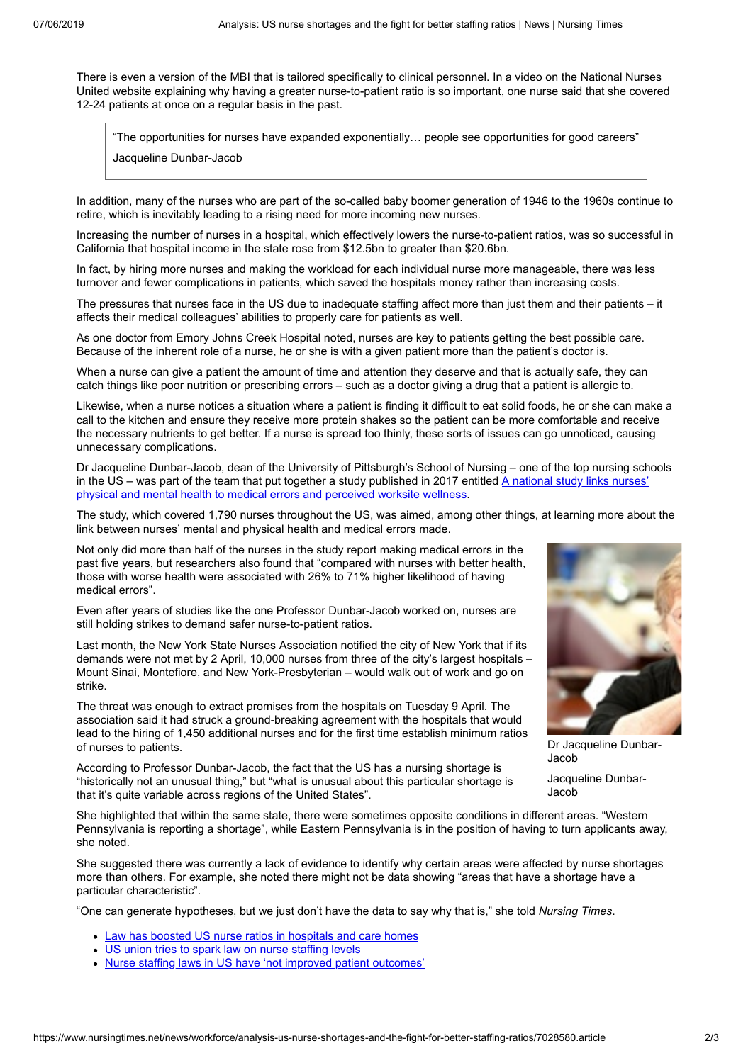There is even a version of the MBI that is tailored specifically to clinical personnel. In a video on the National Nurses United website explaining why having a greater nurse-to-patient ratio is so important, one nurse said that she covered 12-24 patients at once on a regular basis in the past.

"The opportunities for nurses have expanded exponentially… people see opportunities for good careers"

Jacqueline Dunbar-Jacob

In addition, many of the nurses who are part of the so-called baby boomer generation of 1946 to the 1960s continue to retire, which is inevitably leading to a rising need for more incoming new nurses.

Increasing the number of nurses in a hospital, which effectively lowers the nurse-to-patient ratios, was so successful in California that hospital income in the state rose from \$12.5bn to greater than \$20.6bn.

In fact, by hiring more nurses and making the workload for each individual nurse more manageable, there was less turnover and fewer complications in patients, which saved the hospitals money rather than increasing costs.

The pressures that nurses face in the US due to inadequate staffing affect more than just them and their patients – it affects their medical colleagues' abilities to properly care for patients as well.

As one doctor from Emory Johns Creek Hospital noted, nurses are key to patients getting the best possible care. Because of the inherent role of a nurse, he or she is with a given patient more than the patient's doctor is.

When a nurse can give a patient the amount of time and attention they deserve and that is actually safe, they can catch things like poor nutrition or prescribing errors – such as a doctor giving a drug that a patient is allergic to.

Likewise, when a nurse notices a situation where a patient is finding it difficult to eat solid foods, he or she can make a call to the kitchen and ensure they receive more protein shakes so the patient can be more comfortable and receive the necessary nutrients to get better. If a nurse is spread too thinly, these sorts of issues can go unnoticed, causing unnecessary complications.

Dr Jacqueline Dunbar-Jacob, dean of the University of Pittsburgh's School of Nursing – one of the top nursing schools in the US – was part of the team that put together a study published in 2017 entitled  $A$  national study links nurses' physical and mental health to medical errors and perceived worksite wellness.

The study, which covered 1,790 nurses throughout the US, was aimed, among other things, at learning more about the link between nurses' mental and physical health and medical errors made.

Not only did more than half of the nurses in the study report making medical errors in the past five years, but researchers also found that "compared with nurses with better health, those with worse health were associated with 26% to 71% higher likelihood of having medical errors".

Even after years of studies like the one Professor Dunbar-Jacob worked on, nurses are still holding strikes to demand safer nurse-to-patient ratios.

Last month, the New York State Nurses Association notified the city of New York that if its demands were not met by 2 April, 10,000 nurses from three of the city's largest hospitals – Mount Sinai, Montefiore, and New York-Presbyterian – would walk out of work and go on strike.

The threat was enough to extract promises from the hospitals on Tuesday 9 April. The association said it had struck a ground-breaking agreement with the hospitals that would lead to the hiring of 1,450 additional nurses and for the first time establish minimum ratios of nurses to patients.

According to Professor Dunbar-Jacob, the fact that the US has a nursing shortage is "historically not an unusual thing," but "what is unusual about this particular shortage is that it's quite variable across regions of the United States".



Dr Jacqueline Dunbar-Jacob

Jacqueline Dunbar-Jacob

She highlighted that within the same state, there were sometimes opposite conditions in different areas. "Western Pennsylvania is reporting a shortage", while Eastern Pennsylvania is in the position of having to turn applicants away, she noted.

She suggested there was currently a lack of evidence to identify why certain areas were affected by nurse shortages more than others. For example, she noted there might not be data showing "areas that have a shortage have a particular characteristic".

"One can generate hypotheses, but we just don't have the data to say why that is," she told *Nursing Times*.

- [Law has boosted US nurse ratios in hospitals and care homes](https://www.nursingtimes.net/news/workforce/law-has-boosted-us-nurse-ratios-in-hospitals-and-care-homes/7028573.article)
- [US union tries to spark law on nurse staffing levels](https://www.nursingtimes.net/roles/nurse-managers/us-union-tries-to-spark-law-on-nurse-staffing-levels/5062157.article)
- [Nurse staffing laws in US have 'not improved patient outcomes'](https://www.nursingtimes.net/news/workforce/nurse-staffing-laws-in-us-have-not-improved-patient-outcomes/7025878.article)